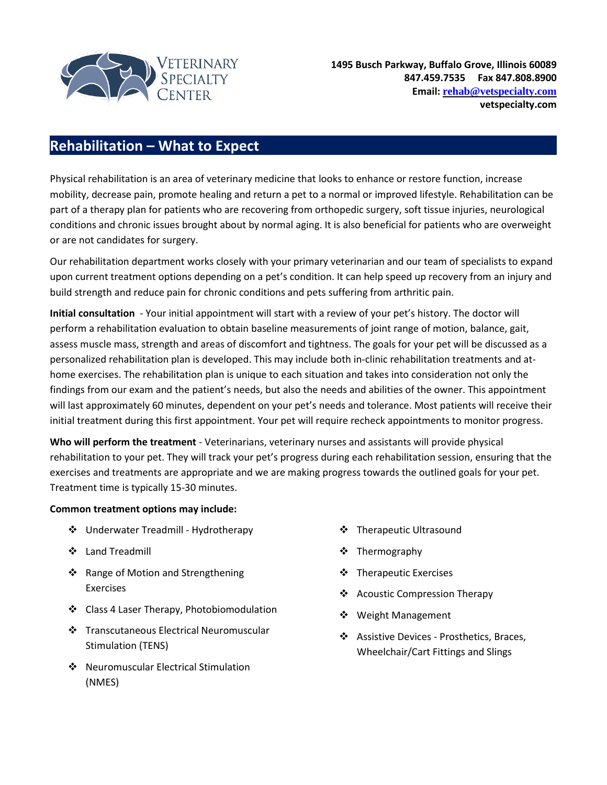

## **Rehabilitation – What to Expect**

Physical rehabilitation is an area of veterinary medicine that looks to enhance or restore function, increase mobility, decrease pain, promote healing and return a pet to a normal or improved lifestyle. Rehabilitation can be part of a therapy plan for patients who are recovering from orthopedic surgery, soft tissue injuries, neurological conditions and chronic issues brought about by normal aging. It is also beneficial for patients who are overweight or are not candidates for surgery.

Our rehabilitation department works closely with your primary veterinarian and our team of specialists to expand upon current treatment options depending on a pet's condition. It can help speed up recovery from an injury and build strength and reduce pain for chronic conditions and pets suffering from arthritic pain.

**Initial consultation** - Your initial appointment will start with a review of your pet's history. The doctor will perform a rehabilitation evaluation to obtain baseline measurements of joint range of motion, balance, gait, assess muscle mass, strength and areas of discomfort and tightness. The goals for your pet will be discussed as a personalized rehabilitation plan is developed. This may include both in-clinic rehabilitation treatments and athome exercises. The rehabilitation plan is unique to each situation and takes into consideration not only the findings from our exam and the patient's needs, but also the needs and abilities of the owner. This appointment will last approximately 60 minutes, dependent on your pet's needs and tolerance. Most patients will receive their initial treatment during this first appointment. Your pet will require recheck appointments to monitor progress.

**Who will perform the treatment** - Veterinarians, veterinary nurses and assistants will provide physical rehabilitation to your pet. They will track your pet's progress during each rehabilitation session, ensuring that the exercises and treatments are appropriate and we are making progress towards the outlined goals for your pet. Treatment time is typically 15-30 minutes.

## **Common treatment options may include:**

- ❖ Underwater Treadmill Hydrotherapy
- Land Treadmill
- ❖ Range of Motion and Strengthening Exercises
- ❖ Class 4 Laser Therapy, Photobiomodulation
- Transcutaneous Electrical Neuromuscular Stimulation (TENS)
- ❖ Neuromuscular Electrical Stimulation (NMES)
- **❖** Therapeutic Ultrasound
- ❖ Thermography
- ❖ Therapeutic Exercises
- ❖ Acoustic Compression Therapy
- ❖ Weight Management
- ❖ Assistive Devices Prosthetics, Braces, Wheelchair/Cart Fittings and Slings